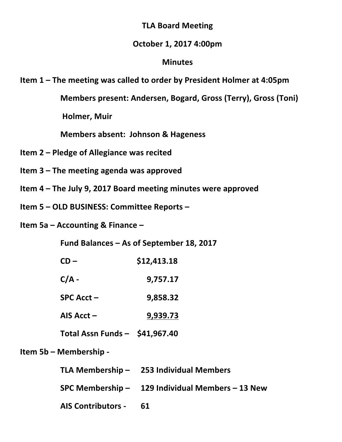## **TLA Board Meeting**

# **October\$1,\$2017 4:00pm**

## **Minutes**

**Item 1 – The meeting was called to order by President Holmer at 4:05pm** 

**Members present: Andersen, Bogard, Gross (Terry), Gross (Toni)** 

**Holmer, Muir** 

**Members\$absent:\$ Johnson\$& Hageness**

- **Item 2 Pledge of Allegiance was recited**
- **Item 3 The meeting agenda was approved**
- **Item 4 The July 9, 2017 Board meeting minutes were approved**
- **Item 5 OLD BUSINESS: Committee Reports**

**Item 5a – Accounting & Finance –** 

Fund Balances – As of September 18, 2017

| CD – | \$12,413.18 |
|------|-------------|
|      |             |

- $C/A -$  **9,757.17**
- **SPC\$Acct\$– \$\$\$9,858.32**
- **AIS\$Acct\$– \$\$\$9,939.73**
- **Total\$Assn\$Funds\$–\$\$\$\$\$41,967.40**

**Item\$5b\$– Membership \**

| TLA Membership $-$ | <b>253 Individual Members</b> |
|--------------------|-------------------------------|
|                    |                               |

**SPC\$Membership\$– 129\$Individual\$Members\$– 13\$New**

AIS Contributors - 61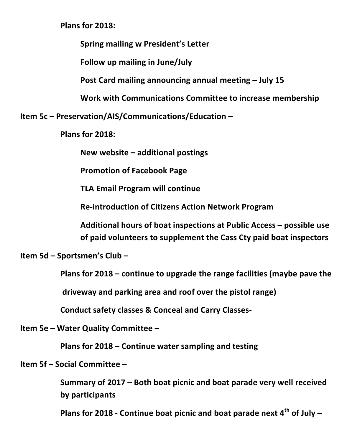**Plans\$for\$2018:**

**Spring mailing w President's Letter** 

Follow up mailing in June/July

**Post Card mailing announcing annual meeting – July 15** 

**Work with Communications Committee to increase membership** 

**Item\$5c\$– Preservation/AIS/Communications/Education\$–**

**Plans for 2018:** 

**New\$website\$– additional\$postings**

**Promotion of Facebook Page** 

**TLA Email Program will continue** 

**Re-introduction of Citizens Action Network Program** 

Additional hours of boat inspections at Public Access – possible use of paid volunteers to supplement the Cass Cty paid boat inspectors

**Item 5d – Sportsmen's Club –** 

**Plans for 2018** – continue to upgrade the range facilities (maybe pave the

driveway and parking area and roof over the pistol range)

**Conduct safety classes & Conceal and Carry Classes-**

**Item 5e – Water Quality Committee –** 

**Plans for 2018 – Continue water sampling and testing** 

**Item 5f – Social Committee –** 

**Summary of 2017 – Both boat picnic and boat parade very well received by\$participants**

**Plans for 2018 - Continue boat picnic and boat parade next 4<sup>th</sup> of July –**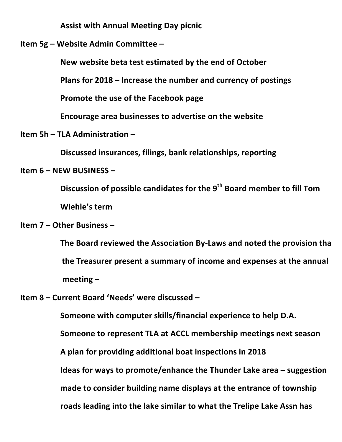**Assist with Annual Meeting Day picnic** 

**Item 5g – Website Admin Committee –** 

New website beta test estimated by the end of October

**Plans for 2018 – Increase the number and currency of postings** 

**Promote the use of the Facebook page** 

Encourage area businesses to advertise on the website

**Item 5h – TLA Administration –** 

**Discussed insurances, filings, bank relationships, reporting** 

#### **Item 6 – NEW BUSINESS –**

**Discussion of possible candidates for the 9<sup>th</sup> Board member to fill Tom Wiehle's term** 

## **Item 7 – Other Business –**

The Board reviewed the Association By-Laws and noted the provision tha the Treasurer present a summary of income and expenses at the annual meeting –

**Item 8 – Current Board 'Needs' were discussed –** 

**Someone with computer skills/financial experience to help D.A. Someone to represent TLA at ACCL membership meetings next season** A plan for providing additional boat inspections in 2018 **Ideas for ways to promote/enhance the Thunder Lake area – suggestion** made to consider building name displays at the entrance of township roads leading into the lake similar to what the Trelipe Lake Assn has